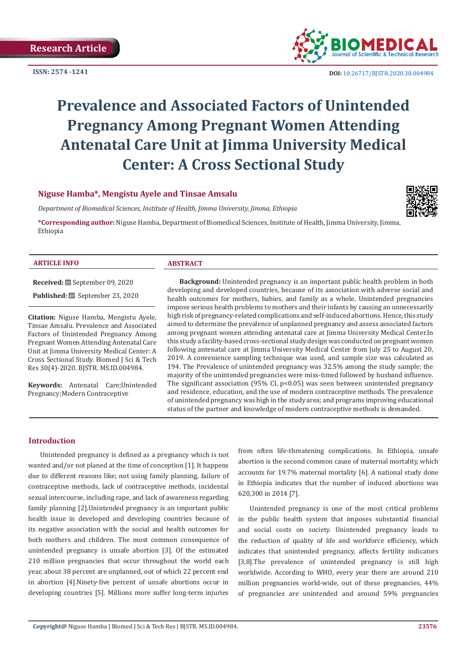**ISSN: 2574 -1241**



 **DOI:** [10.26717/BJSTR.2020.30.0049](http://dx.doi.org/10.26717/BJSTR.2020.30.004984)84

# **Prevalence and Associated Factors of Unintended Pregnancy Among Pregnant Women Attending Antenatal Care Unit at Jimma University Medical Center: A Cross Sectional Study**

# **Niguse Hamba\*, Mengistu Ayele and Tinsae Amsalu**

*Department of Biomedical Sciences, Institute of Health, Jimma University, Jimma, Ethiopia* 

**\*Corresponding author:** Niguse Hamba, Department of Biomedical Sciences, Institute of Health, Jimma University, Jimma, Ethiopia



#### **ARTICLE INFO ABSTRACT**

**Received:** September 09, 2020

**Published:** September 23, 2020

**Citation:** Niguse Hamba, Mengistu Ayele, Tinsae Amsalu. Prevalence and Associated Factors of Unintended Pregnancy Among Pregnant Women Attending Antenatal Care Unit at Jimma University Medical Center: A Cross Sectional Study. Biomed J Sci & Tech Res 30(4)-2020. BJSTR. MS.ID.004984.

**Keywords:** Antenatal Care;Unintended Pregnancy;Modern Contraceptive

**Background:** Unintended pregnancy is an important public health problem in both developing and developed countries, because of its association with adverse social and health outcomes for mothers, babies, and family as a whole. Unintended pregnancies impose serious health problems to mothers and their infants by causing an unnecessarily high risk of pregnancy-related complications and self-induced abortions. Hence, this study aimed to determine the prevalence of unplanned pregnancy and assess associated factors among pregnant women attending antenatal care at Jimma University Medical Center.In this study a facility-based cross-sectional study design was conducted on pregnant women following antenatal care at Jimma University Medical Center from July 25 to August 20, 2019. A convenience sampling technique was used, and sample size was calculated as 194. The Prevalence of unintended pregnancy was 32.5% among the study sample; the majority of the unintended pregnancies were miss-timed followed by husband influence. The significant association (95% CI,  $p < 0.05$ ) was seen between unintended pregnancy and residence, education, and the use of modern contraceptive methods. The prevalence of unintended pregnancy was high in the study area; and programs improving educational status of the partner and knowledge of modern contraceptive methods is demanded.

# **Introduction**

Unintended pregnancy is defined as a pregnancy which is not wanted and/or not planed at the time of conception [1]. It happens due to different reasons like; not using family planning, failure of contraceptive methods, lack of contraceptive methods, incidental sexual intercourse, including rape, and lack of awareness regarding family planning [2].Unintended pregnancy is an important public health issue in developed and developing countries because of its negative association with the social and health outcomes for both mothers and children. The most common consequence of unintended pregnancy is unsafe abortion [3]. Of the estimated 210 million pregnancies that occur throughout the world each year, about 38 percent are unplanned, out of which 22 percent end in abortion [4].Ninety-five percent of unsafe abortions occur in developing countries [5]. Millions more suffer long-term injuries

from often life-threatening complications. In Ethiopia, unsafe abortion is the second common cause of maternal mortality, which accounts for 19.7% maternal mortality [6]. A national study done in Ethiopia indicates that the number of induced abortions was 620,300 in 2014 [7].

Unintended pregnancy is one of the most critical problems in the public health system that imposes substantial financial and social costs on society. Unintended pregnancy leads to the reduction of quality of life and workforce efficiency, which indicates that unintended pregnancy, affects fertility indicators [3,8].The prevalence of unintended pregnancy is still high worldwide. According to WHO, every year there are around 210 million pregnancies world-wide, out of these pregnancies, 44% of pregnancies are unintended and around 59% pregnancies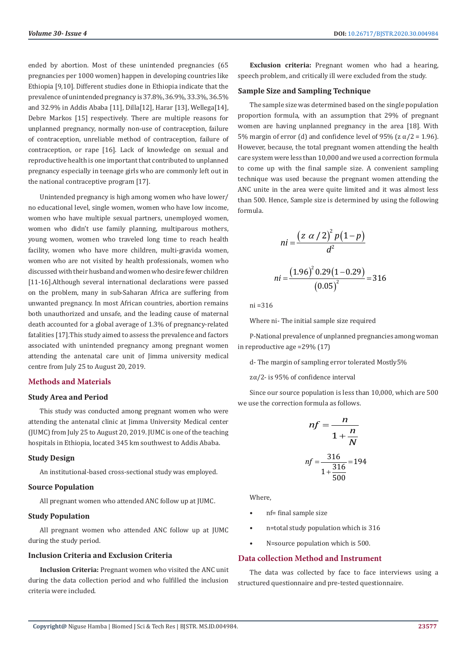ended by abortion. Most of these unintended pregnancies (65 pregnancies per 1000 women) happen in developing countries like Ethiopia [9,10]. Different studies done in Ethiopia indicate that the prevalence of unintended pregnancy is 37.8%, 36.9%, 33.3%, 36.5% and 32.9% in Addis Ababa [11], Dilla[12], Harar [13], Wellega[14], Debre Markos [15] respectively. There are multiple reasons for unplanned pregnancy, normally non-use of contraception, failure of contraception, unreliable method of contraception, failure of contraception, or rape [16]. Lack of knowledge on sexual and reproductive health is one important that contributed to unplanned pregnancy especially in teenage girls who are commonly left out in the national contraceptive program [17].

Unintended pregnancy is high among women who have lower/ no educational level, single women, women who have low income, women who have multiple sexual partners, unemployed women, women who didn't use family planning, multiparous mothers, young women, women who traveled long time to reach health facility, women who have more children, multi-gravida women, women who are not visited by health professionals, women who discussed with their husband and women who desire fewer children [11-16].Although several international declarations were passed on the problem, many in sub-Saharan Africa are suffering from unwanted pregnancy. In most African countries, abortion remains both unauthorized and unsafe, and the leading cause of maternal death accounted for a global average of 1.3% of pregnancy-related fatalities [17].This study aimed to assess the prevalence and factors associated with unintended pregnancy among pregnant women attending the antenatal care unit of Jimma university medical centre from July 25 to August 20, 2019.

# **Methods and Materials**

#### **Study Area and Period**

This study was conducted among pregnant women who were attending the antenatal clinic at Jimma University Medical center (JUMC) from July 25 to August 20, 2019. JUMC is one of the teaching hospitals in Ethiopia, located 345 km southwest to Addis Ababa.

#### **Study Design**

An institutional-based cross-sectional study was employed.

#### **Source Population**

All pregnant women who attended ANC follow up at JUMC.

#### **Study Population**

All pregnant women who attended ANC follow up at JUMC during the study period.

#### **Inclusion Criteria and Exclusion Criteria**

**Inclusion Criteria:** Pregnant women who visited the ANC unit during the data collection period and who fulfilled the inclusion criteria were included.

**Exclusion criteria:** Pregnant women who had a hearing, speech problem, and critically ill were excluded from the study.

#### **Sample Size and Sampling Technique**

The sample size was determined based on the single population proportion formula, with an assumption that 29% of pregnant women are having unplanned pregnancy in the area [18]. With 5% margin of error (d) and confidence level of 95% ( $z \alpha/2 = 1.96$ ). However, because, the total pregnant women attending the health care system were less than 10,000 and we used a correction formula to come up with the final sample size. A convenient sampling technique was used because the pregnant women attending the ANC unite in the area were quite limited and it was almost less than 500. Hence, Sample size is determined by using the following formula.

$$
ni = \frac{\left(z \alpha / 2\right)^2 p \left(1 - p\right)}{d^2}
$$
\n
$$
ni = \frac{\left(1.96\right)^2 0.29 \left(1 - 0.29\right)}{\left(0.05\right)^2} = 316
$$

ni =316

Where ni- The initial sample size required

P-National prevalence of unplanned pregnancies among woman in reproductive age =29% (17)

d- The margin of sampling error tolerated Mostly5%

zα/2- is 95% of confidence interval

Since our source population is less than 10,000, which are 500 we use the correction formula as follows.

$$
nf = \frac{n}{1 + \frac{n}{N}}
$$

$$
nf = \frac{316}{1 + \frac{316}{500}} = 194
$$

Where,

- nf= final sample size
- n=total study population which is 316
- N=source population which is 500.

#### **Data collection Method and Instrument**

The data was collected by face to face interviews using a structured questionnaire and pre-tested questionnaire.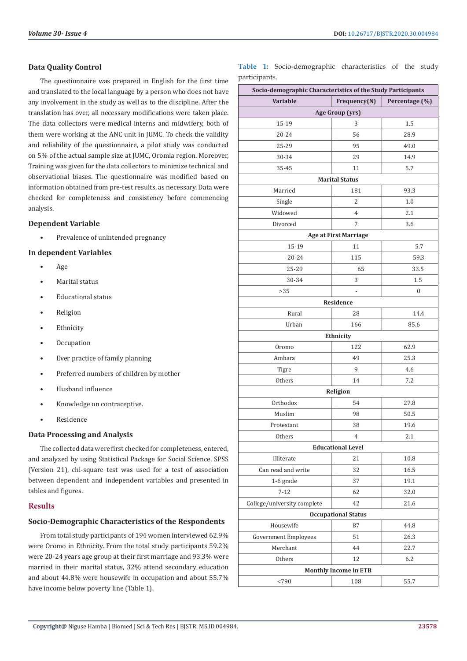# **Data Quality Control**

The questionnaire was prepared in English for the first time and translated to the local language by a person who does not have any involvement in the study as well as to the discipline. After the translation has over, all necessary modifications were taken place. The data collectors were medical interns and midwifery, both of them were working at the ANC unit in JUMC. To check the validity and reliability of the questionnaire, a pilot study was conducted on 5% of the actual sample size at JUMC, Oromia region. Moreover, Training was given for the data collectors to minimize technical and observational biases. The questionnaire was modified based on information obtained from pre-test results, as necessary. Data were checked for completeness and consistency before commencing analysis.

# **Dependent Variable**

• Prevalence of unintended pregnancy

# **In dependent Variables**

- Age
- Marital status
- Educational status
- **Religion**
- **Ethnicity**
- **Occupation**
- Ever practice of family planning
- Preferred numbers of children by mother
- Husband influence
- Knowledge on contraceptive.
- **Residence**

#### **Data Processing and Analysis**

The collected data were first checked for completeness, entered, and analyzed by using Statistical Package for Social Science, SPSS (Version 21), chi-square test was used for a test of association between dependent and independent variables and presented in tables and figures.

# **Results**

# **Socio-Demographic Characteristics of the Respondents**

From total study participants of 194 women interviewed 62.9% were Oromo in Ethnicity. From the total study participants 59.2% were 20-24 years age group at their first marriage and 93.3% were married in their marital status, 32% attend secondary education and about 44.8% were housewife in occupation and about 55.7% have income below poverty line (Table 1).

**Table 1:** Socio-demographic characteristics of the study participants.

| Socio-demographic Characteristics of the Study Participants |                              |                |  |  |
|-------------------------------------------------------------|------------------------------|----------------|--|--|
| <b>Variable</b>                                             | Frequency(N)                 | Percentage (%) |  |  |
|                                                             | Age Group (yrs)              |                |  |  |
| 15-19                                                       | 3                            | 1.5            |  |  |
| 20-24                                                       | 56                           | 28.9           |  |  |
| 25-29                                                       | 95                           | 49.0           |  |  |
| 30-34                                                       | 29                           | 14.9           |  |  |
| 35-45                                                       | 11                           | 5.7            |  |  |
|                                                             | <b>Marital Status</b>        |                |  |  |
| Married                                                     | 181                          | 93.3           |  |  |
| Single                                                      | 2                            | 1.0            |  |  |
| Widowed                                                     | 4                            | 2.1            |  |  |
| Divorced                                                    | 7                            | 3.6            |  |  |
|                                                             | <b>Age at First Marriage</b> |                |  |  |
| 15-19                                                       | 11                           | 5.7            |  |  |
| 20-24                                                       | 115                          | 59.3           |  |  |
| 25-29                                                       | 65                           | 33.5           |  |  |
| 30-34                                                       | 3                            | 1.5            |  |  |
| >35                                                         |                              | $\mathbf{0}$   |  |  |
|                                                             | Residence                    |                |  |  |
| Rural                                                       | 28                           | 14.4           |  |  |
| Urban                                                       | 166                          | 85.6           |  |  |
|                                                             | Ethnicity                    |                |  |  |
| Oromo                                                       | 122                          | 62.9           |  |  |
| Amhara                                                      | 49                           | 25.3           |  |  |
| Tigre                                                       | 9                            | 4.6            |  |  |
| Others                                                      | 14                           | 7.2            |  |  |
|                                                             | Religion                     |                |  |  |
| Orthodox                                                    | 54                           | 27.8           |  |  |
| Muslim                                                      | 98                           | 50.5           |  |  |
| Protestant                                                  | 38                           | 19.6           |  |  |
| Others                                                      | $\overline{4}$               | 2.1            |  |  |
|                                                             | <b>Educational Level</b>     |                |  |  |
| Illiterate                                                  | 21                           | 10.8           |  |  |
| Can read and write                                          | 32                           | 16.5           |  |  |
| 1-6 grade                                                   | 37                           | 19.1           |  |  |
| $7 - 12$                                                    | 62                           | 32.0           |  |  |
| College/university complete                                 | 42                           | 21.6           |  |  |
|                                                             | <b>Occupational Status</b>   |                |  |  |
| Housewife                                                   | 87                           | 44.8           |  |  |
| Government Employees                                        | 51                           | 26.3           |  |  |
| Merchant                                                    | 44                           | 22.7           |  |  |
| Others                                                      | 12                           | 6.2            |  |  |
|                                                             | <b>Monthly Income in ETB</b> |                |  |  |
| < 790                                                       | 108                          | 55.7           |  |  |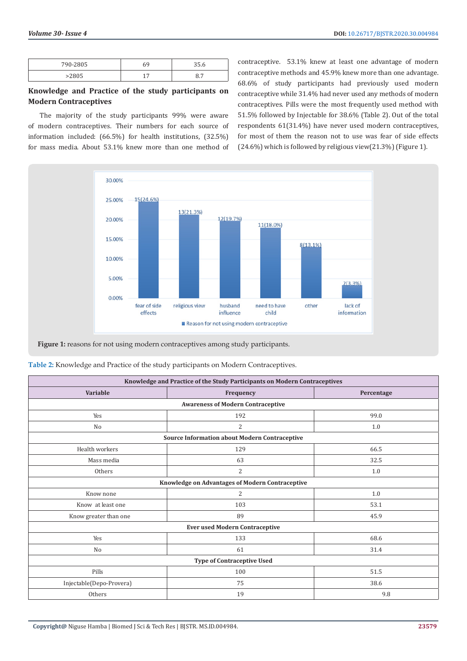| 790-2805 |   | .        |
|----------|---|----------|
| $-2003$  | - | -<br>ο., |

# **Knowledge and Practice of the study participants on Modern Contraceptives**

The majority of the study participants 99% were aware of modern contraceptives. Their numbers for each source of information included: (66.5%) for health institutions, (32.5%) for mass media. About 53.1% knew more than one method of

contraceptive. 53.1% knew at least one advantage of modern contraceptive methods and 45.9% knew more than one advantage. 68.6% of study participants had previously used modern contraceptive while 31.4% had never used any methods of modern contraceptives. Pills were the most frequently used method with 51.5% followed by Injectable for 38.6% (Table 2). Out of the total respondents 61(31.4%) have never used modern contraceptives, for most of them the reason not to use was fear of side effects (24.6%) which is followed by religious view(21.3%) (Figure 1).



Figure 1: reasons for not using modern contraceptives among study participants.

| Table 2: Knowledge and Practice of the study participants on Modern Contraceptives. |  |  |
|-------------------------------------------------------------------------------------|--|--|
|                                                                                     |  |  |

| Knowledge and Practice of the Study Participants on Modern Contraceptives |                |            |  |  |  |
|---------------------------------------------------------------------------|----------------|------------|--|--|--|
| <b>Variable</b>                                                           | Frequency      | Percentage |  |  |  |
| <b>Awareness of Modern Contraceptive</b>                                  |                |            |  |  |  |
| Yes                                                                       | 192            | 99.0       |  |  |  |
| N <sub>0</sub>                                                            | $\overline{2}$ | 1.0        |  |  |  |
| Source Information about Modern Contraceptive                             |                |            |  |  |  |
| Health workers                                                            | 129            | 66.5       |  |  |  |
| Mass media                                                                | 63             | 32.5       |  |  |  |
| Others                                                                    | $\overline{2}$ | 1.0        |  |  |  |
| <b>Knowledge on Advantages of Modern Contraceptive</b>                    |                |            |  |  |  |
| 2<br>1.0<br>Know none                                                     |                |            |  |  |  |
| Know at least one                                                         | 103            | 53.1       |  |  |  |
| Know greater than one                                                     | 89             | 45.9       |  |  |  |
| <b>Ever used Modern Contraceptive</b>                                     |                |            |  |  |  |
| Yes                                                                       | 133            | 68.6       |  |  |  |
| No                                                                        | 61             | 31.4       |  |  |  |
| <b>Type of Contraceptive Used</b>                                         |                |            |  |  |  |
| Pills                                                                     | 100            | 51.5       |  |  |  |
| Injectable(Depo-Provera)                                                  | 75             | 38.6       |  |  |  |
| Others                                                                    | 19             | 9.8        |  |  |  |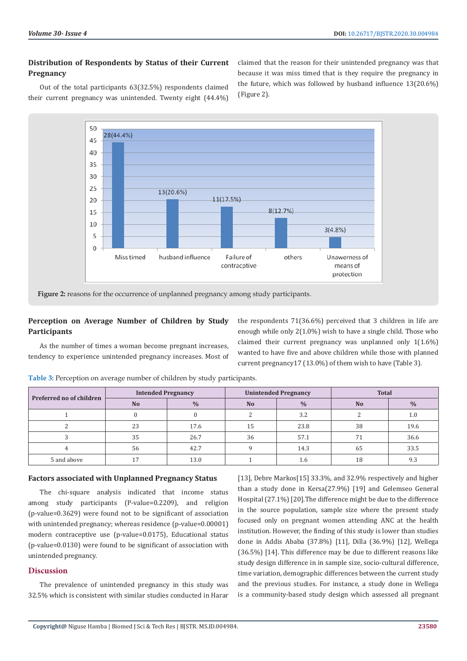# **Distribution of Respondents by Status of their Current Pregnancy**

claimed that the reason for their unintended pregnancy was that because it was miss timed that is they require the pregnancy in the future, which was followed by husband influence 13(20.6%) (Figure 2).

Out of the total participants 63(32.5%) respondents claimed their current pregnancy was unintended. Twenty eight (44.4%)



**Figure 2:** reasons for the occurrence of unplanned pregnancy among study participants.

# **Perception on Average Number of Children by Study Participants**

As the number of times a woman become pregnant increases, tendency to experience unintended pregnancy increases. Most of the respondents 71(36.6%) perceived that 3 children in life are enough while only 2(1.0%) wish to have a single child. Those who claimed their current pregnancy was unplanned only 1(1.6%) wanted to have five and above children while those with planned current pregnancy17 (13.0%) of them wish to have (Table 3).

| Preferred no of children | <b>Intended Pregnancy</b> |               | <b>Unintended Pregnancy</b> |               | <b>Total</b> |               |
|--------------------------|---------------------------|---------------|-----------------------------|---------------|--------------|---------------|
|                          | N <sub>o</sub>            | $\frac{0}{0}$ | <b>No</b>                   | $\frac{0}{0}$ | <b>No</b>    | $\frac{0}{0}$ |
|                          |                           |               |                             | 3.2           |              | $1.0\,$       |
|                          | 23                        | 17.6          | 15                          | 23.8          | 38           | 19.6          |
|                          | 35                        | 26.7          | 36                          | 57.1          | 71           | 36.6          |
|                          | 56                        | 42.7          |                             | 14.3          | 65           | 33.5          |
| 5 and above              |                           | 13.0          |                             | 1.6           | 18           | 9.3           |

**Table 3:** Perception on average number of children by study participants.

# **Factors associated with Unplanned Pregnancy Status**

The chi-square analysis indicated that income status among study participants (P-value=0.2209), and religion (p-value=0.3629) were found not to be significant of association with unintended pregnancy; whereas residence (p-value=0.00001) modern contraceptive use (p-value=0.0175), Educational status (p-value=0.0130) were found to be significant of association with unintended pregnancy.

# **Discussion**

The prevalence of unintended pregnancy in this study was 32.5% which is consistent with similar studies conducted in Harar [13], Debre Markos<sup>[15]</sup> 33.3%, and 32.9% respectively and higher than a study done in Kersa(27.9%) [19] and Gelemseo General Hospital (27.1%) [20].The difference might be due to the difference in the source population, sample size where the present study focused only on pregnant women attending ANC at the health institution. However, the finding of this study is lower than studies done in Addis Ababa (37.8%) [11], Dilla (36.9%) [12], Wellega (36.5%) [14]. This difference may be due to different reasons like study design difference in in sample size, socio-cultural difference, time variation, demographic differences between the current study and the previous studies. For instance, a study done in Wellega is a community-based study design which assessed all pregnant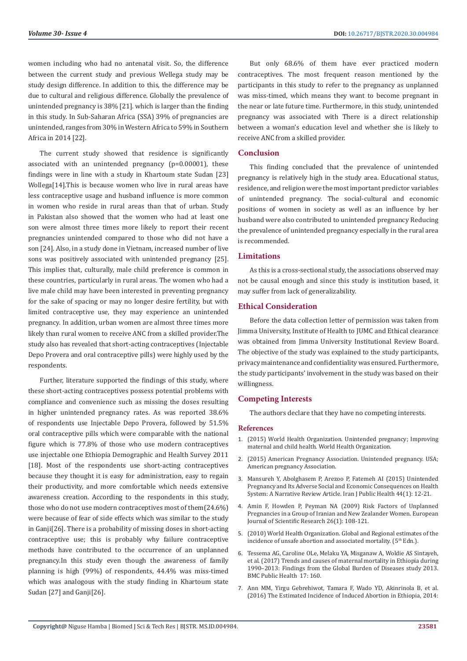women including who had no antenatal visit. So, the difference between the current study and previous Wellega study may be study design difference. In addition to this, the difference may be due to cultural and religious difference. Globally the prevalence of unintended pregnancy is 38% [21]. which is larger than the finding in this study. In Sub-Saharan Africa (SSA) 39% of pregnancies are unintended, ranges from 30% in Western Africa to 59% in Southern Africa in 2014 [22].

The current study showed that residence is significantly associated with an unintended pregnancy (p=0.00001), these findings were in line with a study in Khartoum state Sudan [23] Wollega[14].This is because women who live in rural areas have less contraceptive usage and husband influence is more common in women who reside in rural areas than that of urban. Study in Pakistan also showed that the women who had at least one son were almost three times more likely to report their recent pregnancies unintended compared to those who did not have a son [24]. Also, in a study done in Vietnam, increased number of live sons was positively associated with unintended pregnancy [25]. This implies that, culturally, male child preference is common in these countries, particularly in rural areas. The women who had a live male child may have been interested in preventing pregnancy for the sake of spacing or may no longer desire fertility, but with limited contraceptive use, they may experience an unintended pregnancy. In addition, urban women are almost three times more likely than rural women to receive ANC from a skilled provider.The study also has revealed that short-acting contraceptives (Injectable Depo Provera and oral contraceptive pills) were highly used by the respondents.

Further, literature supported the findings of this study, where these short-acting contraceptives possess potential problems with compliance and convenience such as missing the doses resulting in higher unintended pregnancy rates. As was reported 38.6% of respondents use Injectable Depo Provera, followed by 51.5% oral contraceptive pills which were comparable with the national figure which is 77.8% of those who use modern contraceptives use injectable one Ethiopia Demographic and Health Survey 2011 [18]. Most of the respondents use short-acting contraceptives because they thought it is easy for administration, easy to regain their productivity, and more comfortable which needs extensive awareness creation. According to the respondents in this study, those who do not use modern contraceptives most of them(24.6%) were because of fear of side effects which was similar to the study in Ganji[26]. There is a probability of missing doses in short-acting contraceptive use; this is probably why failure contraceptive methods have contributed to the occurrence of an unplanned pregnancy.In this study even though the awareness of family planning is high (99%) of respondents, 44.4% was miss-timed which was analogous with the study finding in Khartoum state Sudan [27] and Ganji[26].

But only 68.6% of them have ever practiced modern contraceptives. The most frequent reason mentioned by the participants in this study to refer to the pregnancy as unplanned was miss-timed, which means they want to become pregnant in the near or late future time. Furthermore, in this study, unintended pregnancy was associated with There is a direct relationship between a woman's education level and whether she is likely to receive ANC from a skilled provider.

#### **Conclusion**

This finding concluded that the prevalence of unintended pregnancy is relatively high in the study area. Educational status, residence, and religion were the most important predictor variables of unintended pregnancy. The social-cultural and economic positions of women in society as well as an influence by her husband were also contributed to unintended pregnancy Reducing the prevalence of unintended pregnancy especially in the rural area is recommended.

# **Limitations**

As this is a cross-sectional study, the associations observed may not be causal enough and since this study is institution based, it may suffer from lack of generalizability.

# **Ethical Consideration**

Before the data collection letter of permission was taken from Jimma University, Institute of Health to JUMC and Ethical clearance was obtained from Jimma University Institutional Review Board. The objective of the study was explained to the study participants, privacy maintenance and confidentiality was ensured. Furthermore, the study participants' involvement in the study was based on their willingness.

#### **Competing Interests**

The authors declare that they have no competing interests.

#### **References**

- 1. (2015) World Health Organization. Unintended pregnancy; Improving maternal and child health. World Health Organization.
- 2. (2015) American Pregnancy Association. Unintended pregnancy. USA; American pregnancy Association.
- 3. [Mansureh Y, Abolghasem P, Arezoo P, Fatemeh AI \(2015\) Unintended](https://www.ncbi.nlm.nih.gov/pmc/articles/PMC4449999/) [Pregnancy and Its Adverse Social and Economic Consequences on Health](https://www.ncbi.nlm.nih.gov/pmc/articles/PMC4449999/) [System: A Narrative Review Article. Iran J Public Health 44\(1\): 12-21.](https://www.ncbi.nlm.nih.gov/pmc/articles/PMC4449999/)
- 4. Amin F, Howden P, Peyman NA (2009) Risk Factors of Unplanned Pregnancies in a Group of Iranian and New Zealander Women. European Journal of Scientific Research 26(1): 108-121.
- 5. (2010) World Health Organization. Global and Regional estimates of the incidence of unsafe abortion and associated mortality. (5<sup>th</sup> Edn.).
- 6. Tessema AG, Caroline OLe, Melaku YA, Misganaw A, Woldie AS Sintayeh, et al. (2017) Trends and causes of maternal mortality in Ethiopia during 1990–2013: Findings from the Global Burden of Diseases study 2013. BMC Public Health 17: 160.
- 7. [Ann MM, Yirgu Gebrehiwot, Tamara F, Wado YD, Akinrinola B, et al.](https://www.guttmacher.org/journals/ipsrh/2016/11/estimated-incidence-induced-abortion-ethiopia-2014-changes-provision-services) [\(2016\) The Estimated Incidence of Induced Abortion in Ethiopia, 2014:](https://www.guttmacher.org/journals/ipsrh/2016/11/estimated-incidence-induced-abortion-ethiopia-2014-changes-provision-services)